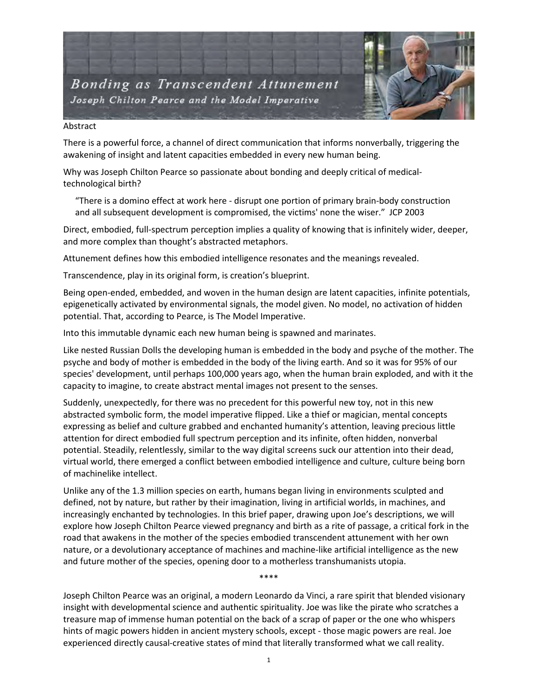

## Abstract

There is a powerful force, a channel of direct communication that informs nonverbally, triggering the awakening of insight and latent capacities embedded in every new human being.

Why was Joseph Chilton Pearce so passionate about bonding and deeply critical of medicaltechnological birth?

"There is a domino effect at work here - disrupt one portion of primary brain-body construction and all subsequent development is compromised, the victims' none the wiser." JCP 2003

Direct, embodied, full-spectrum perception implies a quality of knowing that is infinitely wider, deeper, and more complex than thought's abstracted metaphors.

Attunement defines how this embodied intelligence resonates and the meanings revealed.

Transcendence, play in its original form, is creation's blueprint.

Being open-ended, embedded, and woven in the human design are latent capacities, infinite potentials, epigenetically activated by environmental signals, the model given. No model, no activation of hidden potential. That, according to Pearce, is The Model Imperative.

Into this immutable dynamic each new human being is spawned and marinates.

Like nested Russian Dolls the developing human is embedded in the body and psyche of the mother. The psyche and body of mother is embedded in the body of the living earth. And so it was for 95% of our species' development, until perhaps 100,000 years ago, when the human brain exploded, and with it the capacity to imagine, to create abstract mental images not present to the senses.

Suddenly, unexpectedly, for there was no precedent for this powerful new toy, not in this new abstracted symbolic form, the model imperative flipped. Like a thief or magician, mental concepts expressing as belief and culture grabbed and enchanted humanity's attention, leaving precious little attention for direct embodied full spectrum perception and its infinite, often hidden, nonverbal potential. Steadily, relentlessly, similar to the way digital screens suck our attention into their dead, virtual world, there emerged a conflict between embodied intelligence and culture, culture being born of machinelike intellect.

Unlike any of the 1.3 million species on earth, humans began living in environments sculpted and defined, not by nature, but rather by their imagination, living in artificial worlds, in machines, and increasingly enchanted by technologies. In this brief paper, drawing upon Joe's descriptions, we will explore how Joseph Chilton Pearce viewed pregnancy and birth as a rite of passage, a critical fork in the road that awakens in the mother of the species embodied transcendent attunement with her own nature, or a devolutionary acceptance of machines and machine-like artificial intelligence as the new and future mother of the species, opening door to a motherless transhumanists utopia.

Joseph Chilton Pearce was an original, a modern Leonardo da Vinci, a rare spirit that blended visionary insight with developmental science and authentic spirituality. Joe was like the pirate who scratches a treasure map of immense human potential on the back of a scrap of paper or the one who whispers hints of magic powers hidden in ancient mystery schools, except - those magic powers are real. Joe experienced directly causal-creative states of mind that literally transformed what we call reality.

\*\*\*\*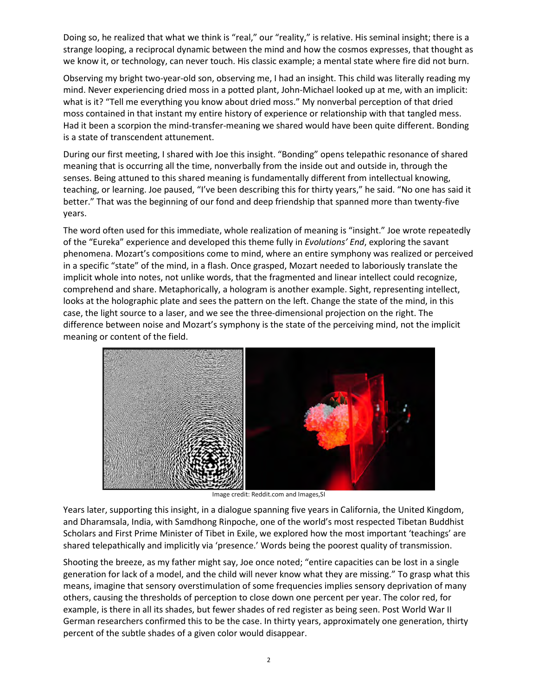Doing so, he realized that what we think is "real," our "reality," is relative. His seminal insight; there is a strange looping, a reciprocal dynamic between the mind and how the cosmos expresses, that thought as we know it, or technology, can never touch. His classic example; a mental state where fire did not burn.

Observing my bright two-year-old son, observing me, I had an insight. This child was literally reading my mind. Never experiencing dried moss in a potted plant, John-Michael looked up at me, with an implicit: what is it? "Tell me everything you know about dried moss." My nonverbal perception of that dried moss contained in that instant my entire history of experience or relationship with that tangled mess. Had it been a scorpion the mind-transfer-meaning we shared would have been quite different. Bonding is a state of transcendent attunement.

During our first meeting, I shared with Joe this insight. "Bonding" opens telepathic resonance of shared meaning that is occurring all the time, nonverbally from the inside out and outside in, through the senses. Being attuned to this shared meaning is fundamentally different from intellectual knowing, teaching, or learning. Joe paused, "I've been describing this for thirty years," he said. "No one has said it better." That was the beginning of our fond and deep friendship that spanned more than twenty-five years.

The word often used for this immediate, whole realization of meaning is "insight." Joe wrote repeatedly of the "Eureka" experience and developed this theme fully in *Evolutions' End*, exploring the savant phenomena. Mozart's compositions come to mind, where an entire symphony was realized or perceived in a specific "state" of the mind, in a flash. Once grasped, Mozart needed to laboriously translate the implicit whole into notes, not unlike words, that the fragmented and linear intellect could recognize, comprehend and share. Metaphorically, a hologram is another example. Sight, representing intellect, looks at the holographic plate and sees the pattern on the left. Change the state of the mind, in this case, the light source to a laser, and we see the three-dimensional projection on the right. The difference between noise and Mozart's symphony is the state of the perceiving mind, not the implicit meaning or content of the field.



Image credit: Reddit.com and Images,SI

Years later, supporting this insight, in a dialogue spanning five years in California, the United Kingdom, and Dharamsala, India, with Samdhong Rinpoche, one of the world's most respected Tibetan Buddhist Scholars and First Prime Minister of Tibet in Exile, we explored how the most important 'teachings' are shared telepathically and implicitly via 'presence.' Words being the poorest quality of transmission.

Shooting the breeze, as my father might say, Joe once noted; "entire capacities can be lost in a single generation for lack of a model, and the child will never know what they are missing." To grasp what this means, imagine that sensory overstimulation of some frequencies implies sensory deprivation of many others, causing the thresholds of perception to close down one percent per year. The color red, for example, is there in all its shades, but fewer shades of red register as being seen. Post World War II German researchers confirmed this to be the case. In thirty years, approximately one generation, thirty percent of the subtle shades of a given color would disappear.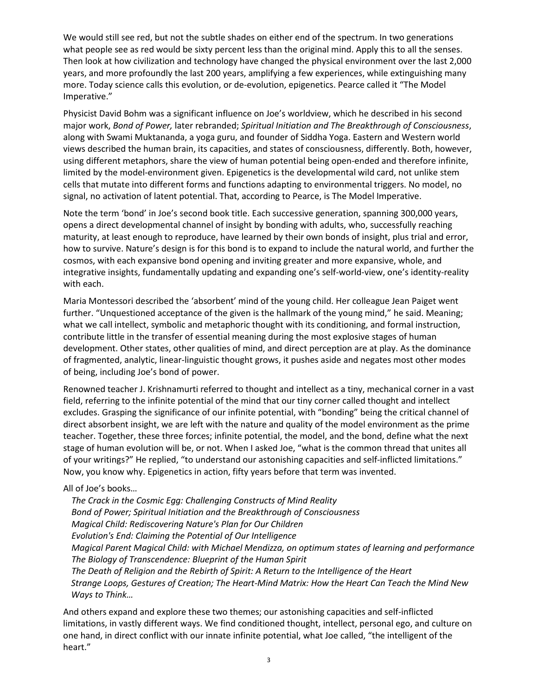We would still see red, but not the subtle shades on either end of the spectrum. In two generations what people see as red would be sixty percent less than the original mind. Apply this to all the senses. Then look at how civilization and technology have changed the physical environment over the last 2,000 years, and more profoundly the last 200 years, amplifying a few experiences, while extinguishing many more. Today science calls this evolution, or de-evolution, epigenetics. Pearce called it "The Model Imperative."

Physicist David Bohm was a significant influence on Joe's worldview, which he described in his second major work, *Bond of Power,* later rebranded; *Spiritual Initiation and The Breakthrough of Consciousness*, along with Swami Muktananda, a yoga guru, and founder of Siddha Yoga. Eastern and Western world views described the human brain, its capacities, and states of consciousness, differently. Both, however, using different metaphors, share the view of human potential being open-ended and therefore infinite, limited by the model-environment given. Epigenetics is the developmental wild card, not unlike stem cells that mutate into different forms and functions adapting to environmental triggers. No model, no signal, no activation of latent potential. That, according to Pearce, is The Model Imperative.

Note the term 'bond' in Joe's second book title. Each successive generation, spanning 300,000 years, opens a direct developmental channel of insight by bonding with adults, who, successfully reaching maturity, at least enough to reproduce, have learned by their own bonds of insight, plus trial and error, how to survive. Nature's design is for this bond is to expand to include the natural world, and further the cosmos, with each expansive bond opening and inviting greater and more expansive, whole, and integrative insights, fundamentally updating and expanding one's self-world-view, one's identity-reality with each.

Maria Montessori described the 'absorbent' mind of the young child. Her colleague Jean Paiget went further. "Unquestioned acceptance of the given is the hallmark of the young mind," he said. Meaning; what we call intellect, symbolic and metaphoric thought with its conditioning, and formal instruction, contribute little in the transfer of essential meaning during the most explosive stages of human development. Other states, other qualities of mind, and direct perception are at play. As the dominance of fragmented, analytic, linear-linguistic thought grows, it pushes aside and negates most other modes of being, including Joe's bond of power.

Renowned teacher J. Krishnamurti referred to thought and intellect as a tiny, mechanical corner in a vast field, referring to the infinite potential of the mind that our tiny corner called thought and intellect excludes. Grasping the significance of our infinite potential, with "bonding" being the critical channel of direct absorbent insight, we are left with the nature and quality of the model environment as the prime teacher. Together, these three forces; infinite potential, the model, and the bond, define what the next stage of human evolution will be, or not. When I asked Joe, "what is the common thread that unites all of your writings?" He replied, "to understand our astonishing capacities and self-inflicted limitations." Now, you know why. Epigenetics in action, fifty years before that term was invented.

## All of Joe's books…

*The Crack in the Cosmic Egg: Challenging Constructs of Mind Reality Bond of Power; Spiritual Initiation and the Breakthrough of Consciousness Magical Child: Rediscovering Nature's Plan for Our Children Evolution's End: Claiming the Potential of Our Intelligence Magical Parent Magical Child: with Michael Mendizza, on optimum states of learning and performance The Biology of Transcendence: Blueprint of the Human Spirit The Death of Religion and the Rebirth of Spirit: A Return to the Intelligence of the Heart Strange Loops, Gestures of Creation; The Heart-Mind Matrix: How the Heart Can Teach the Mind New Ways to Think…*

And others expand and explore these two themes; our astonishing capacities and self-inflicted limitations, in vastly different ways. We find conditioned thought, intellect, personal ego, and culture on one hand, in direct conflict with our innate infinite potential, what Joe called, "the intelligent of the heart."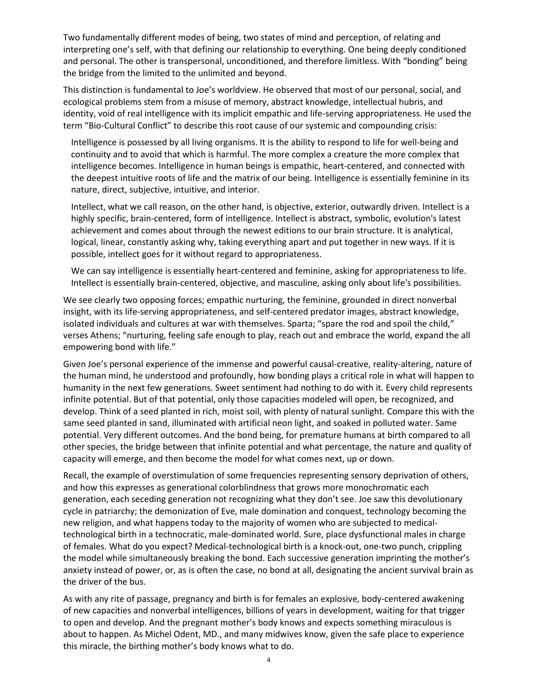Two fundamentally different modes of being, two states of mind and perception, of relating and interpreting one's self, with that defining our relationship to everything. One being deeply conditioned and personal. The other is transpersonal, unconditioned, and therefore limitless. With "bonding" being the bridge from the limited to the unlimited and beyond.

This distinction is fundamental to Joe's worldview. He observed that most of our personal, social, and ecological problems stem from a misuse of memory, abstract knowledge, intellectual hubris, and identity, void of real intelligence with its implicit empathic and life-serving appropriateness. He used the term "Bio-Cultural Conflict" to describe this root cause of our systemic and compounding crisis:

Intelligence is possessed by all living organisms. It is the ability to respond to life for well-being and continuity and to avoid that which is harmful. The more complex a creature the more complex that intelligence becomes. Intelligence in human beings is empathic, heart-centered, and connected with the deepest intuitive roots of life and the matrix of our being. Intelligence is essentially feminine in its nature, direct, subjective, intuitive, and interior.

Intellect, what we call reason, on the other hand, is objective, exterior, outwardly driven. Intellect is a highly specific, brain-centered, form of intelligence. Intellect is abstract, symbolic, evolution's latest achievement and comes about through the newest editions to our brain structure. It is analytical, logical, linear, constantly asking why, taking everything apart and put together in new ways. If it is possible, intellect goes for it without regard to appropriateness.

We can say intelligence is essentially heart-centered and feminine, asking for appropriateness to life. Intellect is essentially brain-centered, objective, and masculine, asking only about life's possibilities.

We see clearly two opposing forces; empathic nurturing, the feminine, grounded in direct nonverbal insight, with its life-serving appropriateness, and self-centered predator images, abstract knowledge, isolated individuals and cultures at war with themselves. Sparta; "spare the rod and spoil the child," verses Athens; "nurturing, feeling safe enough to play, reach out and embrace the world, expand the all empowering bond with life."

Given Joe's personal experience of the immense and powerful causal-creative, reality-altering, nature of the human mind, he understood and profoundly, how bonding plays a critical role in what will happen to humanity in the next few generations. Sweet sentiment had nothing to do with it. Every child represents infinite potential. But of that potential, only those capacities modeled will open, be recognized, and develop. Think of a seed planted in rich, moist soil, with plenty of natural sunlight. Compare this with the same seed planted in sand, illuminated with artificial neon light, and soaked in polluted water. Same potential. Very different outcomes. And the bond being, for premature humans at birth compared to all other species, the bridge between that infinite potential and what percentage, the nature and quality of capacity will emerge, and then become the model for what comes next, up or down.

Recall, the example of overstimulation of some frequencies representing sensory deprivation of others, and how this expresses as generational colorblindness that grows more monochromatic each generation, each seceding generation not recognizing what they don't see. Joe saw this devolutionary cycle in patriarchy; the demonization of Eve, male domination and conquest, technology becoming the new religion, and what happens today to the majority of women who are subjected to medicaltechnological birth in a technocratic, male-dominated world. Sure, place dysfunctional males in charge of females. What do you expect? Medical-technological birth is a knock-out, one-two punch, crippling the model while simultaneously breaking the bond. Each successive generation imprinting the mother's anxiety instead of power, or, as is often the case, no bond at all, designating the ancient survival brain as the driver of the bus.

As with any rite of passage, pregnancy and birth is for females an explosive, body-centered awakening of new capacities and nonverbal intelligences, billions of years in development, waiting for that trigger to open and develop. And the pregnant mother's body knows and expects something miraculous is about to happen. As Michel Odent, MD., and many midwives know, given the safe place to experience this miracle, the birthing mother's body knows what to do.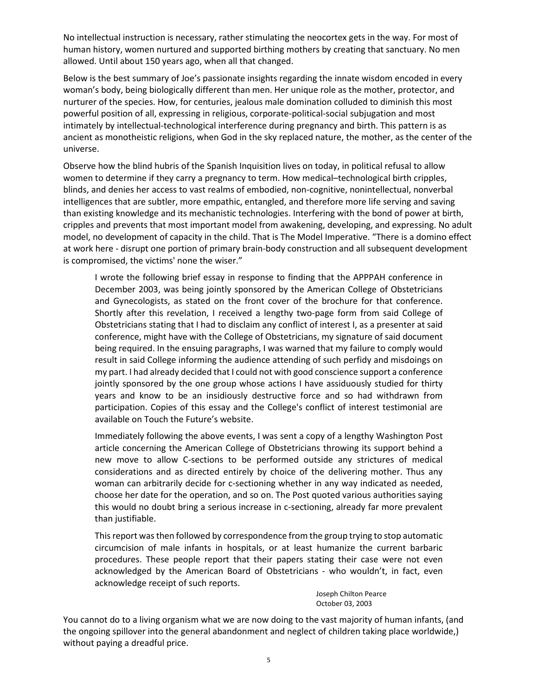No intellectual instruction is necessary, rather stimulating the neocortex gets in the way. For most of human history, women nurtured and supported birthing mothers by creating that sanctuary. No men allowed. Until about 150 years ago, when all that changed.

Below is the best summary of Joe's passionate insights regarding the innate wisdom encoded in every woman's body, being biologically different than men. Her unique role as the mother, protector, and nurturer of the species. How, for centuries, jealous male domination colluded to diminish this most powerful position of all, expressing in religious, corporate-political-social subjugation and most intimately by intellectual-technological interference during pregnancy and birth. This pattern is as ancient as monotheistic religions, when God in the sky replaced nature, the mother, as the center of the universe.

Observe how the blind hubris of the Spanish Inquisition lives on today, in political refusal to allow women to determine if they carry a pregnancy to term. How medical–technological birth cripples, blinds, and denies her access to vast realms of embodied, non-cognitive, nonintellectual, nonverbal intelligences that are subtler, more empathic, entangled, and therefore more life serving and saving than existing knowledge and its mechanistic technologies. Interfering with the bond of power at birth, cripples and prevents that most important model from awakening, developing, and expressing. No adult model, no development of capacity in the child. That is The Model Imperative. "There is a domino effect at work here - disrupt one portion of primary brain-body construction and all subsequent development is compromised, the victims' none the wiser."

I wrote the following brief essay in response to finding that the APPPAH conference in December 2003, was being jointly sponsored by the American College of Obstetricians and Gynecologists, as stated on the front cover of the brochure for that conference. Shortly after this revelation, I received a lengthy two-page form from said College of Obstetricians stating that I had to disclaim any conflict of interest I, as a presenter at said conference, might have with the College of Obstetricians, my signature of said document being required. In the ensuing paragraphs, I was warned that my failure to comply would result in said College informing the audience attending of such perfidy and misdoings on my part. I had already decided that I could not with good conscience support a conference jointly sponsored by the one group whose actions I have assiduously studied for thirty years and know to be an insidiously destructive force and so had withdrawn from participation. Copies of this essay and the College's conflict of interest testimonial are available on Touch the Future's website.

Immediately following the above events, I was sent a copy of a lengthy Washington Post article concerning the American College of Obstetricians throwing its support behind a new move to allow C-sections to be performed outside any strictures of medical considerations and as directed entirely by choice of the delivering mother. Thus any woman can arbitrarily decide for c-sectioning whether in any way indicated as needed, choose her date for the operation, and so on. The Post quoted various authorities saying this would no doubt bring a serious increase in c-sectioning, already far more prevalent than justifiable.

This report was then followed by correspondence from the group trying to stop automatic circumcision of male infants in hospitals, or at least humanize the current barbaric procedures. These people report that their papers stating their case were not even acknowledged by the American Board of Obstetricians - who wouldn't, in fact, even acknowledge receipt of such reports.

> Joseph Chilton Pearce October 03, 2003

You cannot do to a living organism what we are now doing to the vast majority of human infants, (and the ongoing spillover into the general abandonment and neglect of children taking place worldwide,) without paying a dreadful price.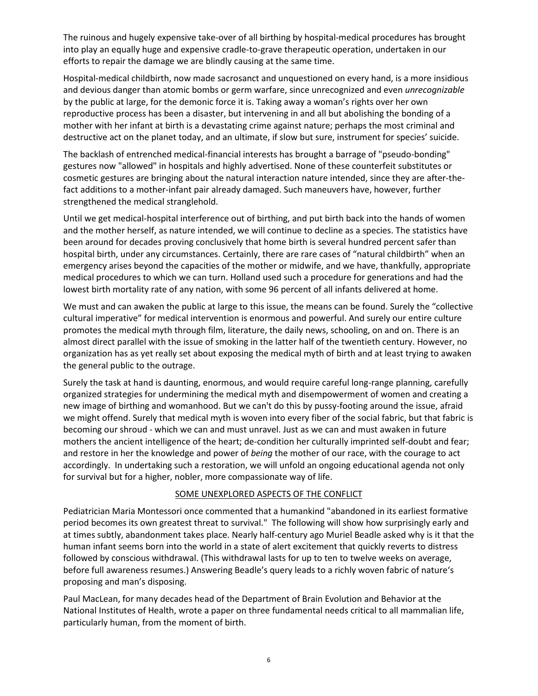The ruinous and hugely expensive take-over of all birthing by hospital-medical procedures has brought into play an equally huge and expensive cradle-to-grave therapeutic operation, undertaken in our efforts to repair the damage we are blindly causing at the same time.

Hospital-medical childbirth, now made sacrosanct and unquestioned on every hand, is a more insidious and devious danger than atomic bombs or germ warfare, since unrecognized and even *unrecognizable* by the public at large, for the demonic force it is. Taking away a woman's rights over her own reproductive process has been a disaster, but intervening in and all but abolishing the bonding of a mother with her infant at birth is a devastating crime against nature; perhaps the most criminal and destructive act on the planet today, and an ultimate, if slow but sure, instrument for species' suicide.

The backlash of entrenched medical-financial interests has brought a barrage of "pseudo-bonding" gestures now "allowed" in hospitals and highly advertised. None of these counterfeit substitutes or cosmetic gestures are bringing about the natural interaction nature intended, since they are after-thefact additions to a mother-infant pair already damaged. Such maneuvers have, however, further strengthened the medical stranglehold.

Until we get medical-hospital interference out of birthing, and put birth back into the hands of women and the mother herself, as nature intended, we will continue to decline as a species. The statistics have been around for decades proving conclusively that home birth is several hundred percent safer than hospital birth, under any circumstances. Certainly, there are rare cases of "natural childbirth" when an emergency arises beyond the capacities of the mother or midwife, and we have, thankfully, appropriate medical procedures to which we can turn. Holland used such a procedure for generations and had the lowest birth mortality rate of any nation, with some 96 percent of all infants delivered at home.

We must and can awaken the public at large to this issue, the means can be found. Surely the "collective" cultural imperative" for medical intervention is enormous and powerful. And surely our entire culture promotes the medical myth through film, literature, the daily news, schooling, on and on. There is an almost direct parallel with the issue of smoking in the latter half of the twentieth century. However, no organization has as yet really set about exposing the medical myth of birth and at least trying to awaken the general public to the outrage.

Surely the task at hand is daunting, enormous, and would require careful long-range planning, carefully organized strategies for undermining the medical myth and disempowerment of women and creating a new image of birthing and womanhood. But we can't do this by pussy-footing around the issue, afraid we might offend. Surely that medical myth is woven into every fiber of the social fabric, but that fabric is becoming our shroud - which we can and must unravel. Just as we can and must awaken in future mothers the ancient intelligence of the heart; de-condition her culturally imprinted self-doubt and fear; and restore in her the knowledge and power of *being* the mother of our race, with the courage to act accordingly. In undertaking such a restoration, we will unfold an ongoing educational agenda not only for survival but for a higher, nobler, more compassionate way of life.

## SOME UNEXPLORED ASPECTS OF THE CONFLICT

Pediatrician Maria Montessori once commented that a humankind "abandoned in its earliest formative period becomes its own greatest threat to survival." The following will show how surprisingly early and at times subtly, abandonment takes place. Nearly half-century ago Muriel Beadle asked why is it that the human infant seems born into the world in a state of alert excitement that quickly reverts to distress followed by conscious withdrawal. (This withdrawal lasts for up to ten to twelve weeks on average, before full awareness resumes.) Answering Beadle's query leads to a richly woven fabric of nature's proposing and man's disposing.

Paul MacLean, for many decades head of the Department of Brain Evolution and Behavior at the National Institutes of Health, wrote a paper on three fundamental needs critical to all mammalian life, particularly human, from the moment of birth.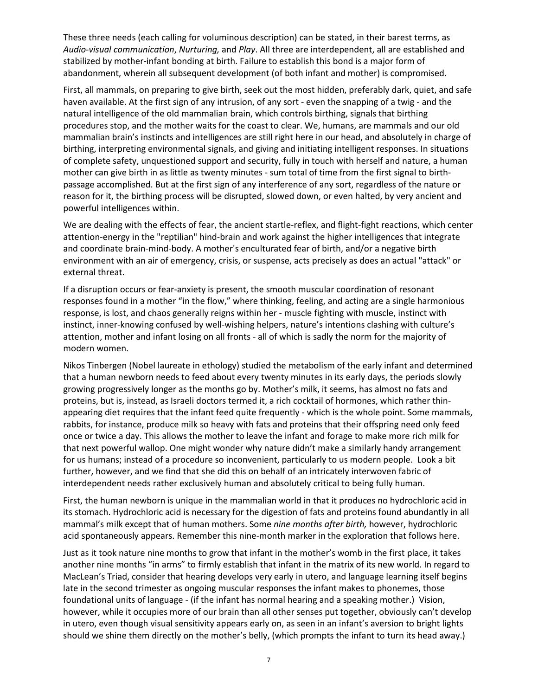These three needs (each calling for voluminous description) can be stated, in their barest terms, as *Audio-visual communication*, *Nurturing,* and *Play*. All three are interdependent, all are established and stabilized by mother-infant bonding at birth. Failure to establish this bond is a major form of abandonment, wherein all subsequent development (of both infant and mother) is compromised.

First, all mammals, on preparing to give birth, seek out the most hidden, preferably dark, quiet, and safe haven available. At the first sign of any intrusion, of any sort - even the snapping of a twig - and the natural intelligence of the old mammalian brain, which controls birthing, signals that birthing procedures stop, and the mother waits for the coast to clear. We, humans, are mammals and our old mammalian brain's instincts and intelligences are still right here in our head, and absolutely in charge of birthing, interpreting environmental signals, and giving and initiating intelligent responses. In situations of complete safety, unquestioned support and security, fully in touch with herself and nature, a human mother can give birth in as little as twenty minutes - sum total of time from the first signal to birthpassage accomplished. But at the first sign of any interference of any sort, regardless of the nature or reason for it, the birthing process will be disrupted, slowed down, or even halted, by very ancient and powerful intelligences within.

We are dealing with the effects of fear, the ancient startle-reflex, and flight-fight reactions, which center attention-energy in the "reptilian" hind-brain and work against the higher intelligences that integrate and coordinate brain-mind-body. A mother's enculturated fear of birth, and/or a negative birth environment with an air of emergency, crisis, or suspense, acts precisely as does an actual "attack" or external threat.

If a disruption occurs or fear-anxiety is present, the smooth muscular coordination of resonant responses found in a mother "in the flow," where thinking, feeling, and acting are a single harmonious response, is lost, and chaos generally reigns within her - muscle fighting with muscle, instinct with instinct, inner-knowing confused by well-wishing helpers, nature's intentions clashing with culture's attention, mother and infant losing on all fronts - all of which is sadly the norm for the majority of modern women.

Nikos Tinbergen (Nobel laureate in ethology) studied the metabolism of the early infant and determined that a human newborn needs to feed about every twenty minutes in its early days, the periods slowly growing progressively longer as the months go by. Mother's milk, it seems, has almost no fats and proteins, but is, instead, as Israeli doctors termed it, a rich cocktail of hormones, which rather thinappearing diet requires that the infant feed quite frequently - which is the whole point. Some mammals, rabbits, for instance, produce milk so heavy with fats and proteins that their offspring need only feed once or twice a day. This allows the mother to leave the infant and forage to make more rich milk for that next powerful wallop. One might wonder why nature didn't make a similarly handy arrangement for us humans; instead of a procedure so inconvenient, particularly to us modern people. Look a bit further, however, and we find that she did this on behalf of an intricately interwoven fabric of interdependent needs rather exclusively human and absolutely critical to being fully human.

First, the human newborn is unique in the mammalian world in that it produces no hydrochloric acid in its stomach. Hydrochloric acid is necessary for the digestion of fats and proteins found abundantly in all mammal's milk except that of human mothers. Some *nine months after birth,* however, hydrochloric acid spontaneously appears. Remember this nine-month marker in the exploration that follows here.

Just as it took nature nine months to grow that infant in the mother's womb in the first place, it takes another nine months "in arms" to firmly establish that infant in the matrix of its new world. In regard to MacLean's Triad, consider that hearing develops very early in utero, and language learning itself begins late in the second trimester as ongoing muscular responses the infant makes to phonemes, those foundational units of language - (if the infant has normal hearing and a speaking mother.) Vision, however, while it occupies more of our brain than all other senses put together, obviously can't develop in utero, even though visual sensitivity appears early on, as seen in an infant's aversion to bright lights should we shine them directly on the mother's belly, (which prompts the infant to turn its head away.)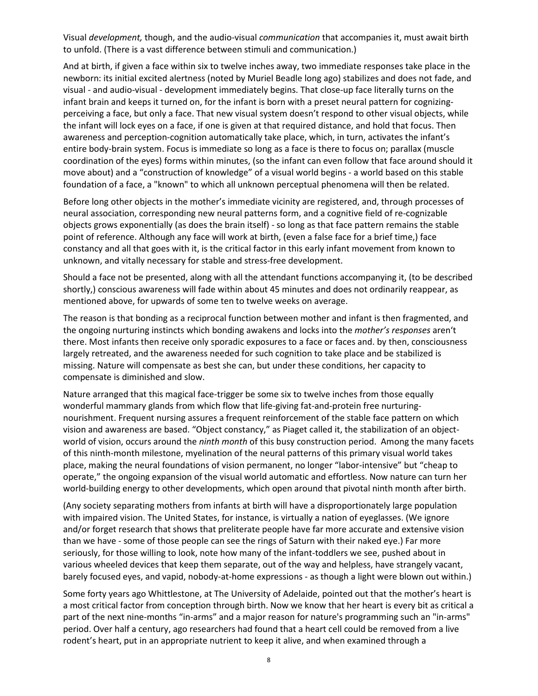Visual *development,* though, and the audio-visual *communication* that accompanies it, must await birth to unfold. (There is a vast difference between stimuli and communication.)

And at birth, if given a face within six to twelve inches away, two immediate responses take place in the newborn: its initial excited alertness (noted by Muriel Beadle long ago) stabilizes and does not fade, and visual - and audio-visual - development immediately begins. That close-up face literally turns on the infant brain and keeps it turned on, for the infant is born with a preset neural pattern for cognizingperceiving a face, but only a face. That new visual system doesn't respond to other visual objects, while the infant will lock eyes on a face, if one is given at that required distance, and hold that focus. Then awareness and perception-cognition automatically take place, which, in turn, activates the infant's entire body-brain system. Focus is immediate so long as a face is there to focus on; parallax (muscle coordination of the eyes) forms within minutes, (so the infant can even follow that face around should it move about) and a "construction of knowledge" of a visual world begins - a world based on this stable foundation of a face, a "known" to which all unknown perceptual phenomena will then be related.

Before long other objects in the mother's immediate vicinity are registered, and, through processes of neural association, corresponding new neural patterns form, and a cognitive field of re-cognizable objects grows exponentially (as does the brain itself) - so long as that face pattern remains the stable point of reference. Although any face will work at birth, (even a false face for a brief time,) face constancy and all that goes with it, is the critical factor in this early infant movement from known to unknown, and vitally necessary for stable and stress-free development.

Should a face not be presented, along with all the attendant functions accompanying it, (to be described shortly,) conscious awareness will fade within about 45 minutes and does not ordinarily reappear, as mentioned above, for upwards of some ten to twelve weeks on average.

The reason is that bonding as a reciprocal function between mother and infant is then fragmented, and the ongoing nurturing instincts which bonding awakens and locks into the *mother's responses* aren't there. Most infants then receive only sporadic exposures to a face or faces and. by then, consciousness largely retreated, and the awareness needed for such cognition to take place and be stabilized is missing. Nature will compensate as best she can, but under these conditions, her capacity to compensate is diminished and slow.

Nature arranged that this magical face-trigger be some six to twelve inches from those equally wonderful mammary glands from which flow that life-giving fat-and-protein free nurturingnourishment. Frequent nursing assures a frequent reinforcement of the stable face pattern on which vision and awareness are based. "Object constancy," as Piaget called it, the stabilization of an objectworld of vision, occurs around the *ninth month* of this busy construction period. Among the many facets of this ninth-month milestone, myelination of the neural patterns of this primary visual world takes place, making the neural foundations of vision permanent, no longer "labor-intensive" but "cheap to operate," the ongoing expansion of the visual world automatic and effortless. Now nature can turn her world-building energy to other developments, which open around that pivotal ninth month after birth.

(Any society separating mothers from infants at birth will have a disproportionately large population with impaired vision. The United States, for instance, is virtually a nation of eyeglasses. (We ignore and/or forget research that shows that preliterate people have far more accurate and extensive vision than we have - some of those people can see the rings of Saturn with their naked eye.) Far more seriously, for those willing to look, note how many of the infant-toddlers we see, pushed about in various wheeled devices that keep them separate, out of the way and helpless, have strangely vacant, barely focused eyes, and vapid, nobody-at-home expressions - as though a light were blown out within.)

Some forty years ago Whittlestone, at The University of Adelaide, pointed out that the mother's heart is a most critical factor from conception through birth. Now we know that her heart is every bit as critical a part of the next nine-months "in-arms" and a major reason for nature's programming such an "in-arms" period. Over half a century, ago researchers had found that a heart cell could be removed from a live rodent's heart, put in an appropriate nutrient to keep it alive, and when examined through a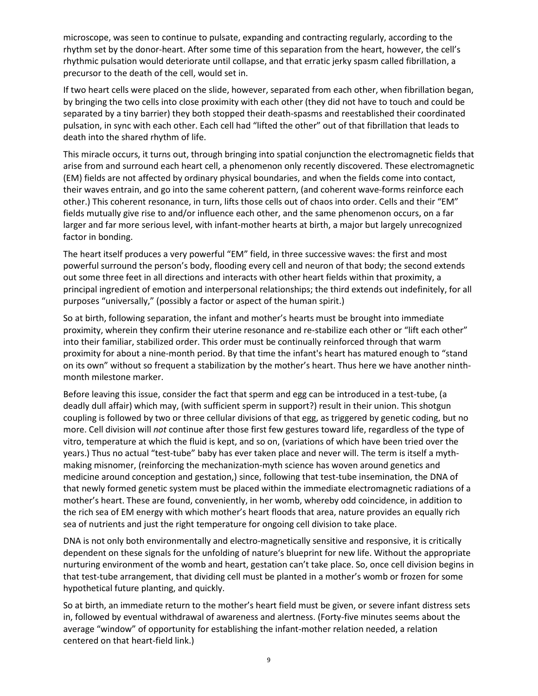microscope, was seen to continue to pulsate, expanding and contracting regularly, according to the rhythm set by the donor-heart. After some time of this separation from the heart, however, the cell's rhythmic pulsation would deteriorate until collapse, and that erratic jerky spasm called fibrillation, a precursor to the death of the cell, would set in.

If two heart cells were placed on the slide, however, separated from each other, when fibrillation began, by bringing the two cells into close proximity with each other (they did not have to touch and could be separated by a tiny barrier) they both stopped their death-spasms and reestablished their coordinated pulsation, in sync with each other. Each cell had "lifted the other" out of that fibrillation that leads to death into the shared rhythm of life.

This miracle occurs, it turns out, through bringing into spatial conjunction the electromagnetic fields that arise from and surround each heart cell, a phenomenon only recently discovered. These electromagnetic (EM) fields are not affected by ordinary physical boundaries, and when the fields come into contact, their waves entrain, and go into the same coherent pattern, (and coherent wave-forms reinforce each other.) This coherent resonance, in turn, lifts those cells out of chaos into order. Cells and their "EM" fields mutually give rise to and/or influence each other, and the same phenomenon occurs, on a far larger and far more serious level, with infant-mother hearts at birth, a major but largely unrecognized factor in bonding.

The heart itself produces a very powerful "EM" field, in three successive waves: the first and most powerful surround the person's body, flooding every cell and neuron of that body; the second extends out some three feet in all directions and interacts with other heart fields within that proximity, a principal ingredient of emotion and interpersonal relationships; the third extends out indefinitely, for all purposes "universally," (possibly a factor or aspect of the human spirit.)

So at birth, following separation, the infant and mother's hearts must be brought into immediate proximity, wherein they confirm their uterine resonance and re-stabilize each other or "lift each other" into their familiar, stabilized order. This order must be continually reinforced through that warm proximity for about a nine-month period. By that time the infant's heart has matured enough to "stand on its own" without so frequent a stabilization by the mother's heart. Thus here we have another ninthmonth milestone marker.

Before leaving this issue, consider the fact that sperm and egg can be introduced in a test-tube, (a deadly dull affair) which may, (with sufficient sperm in support?) result in their union. This shotgun coupling is followed by two or three cellular divisions of that egg, as triggered by genetic coding, but no more. Cell division will *not* continue after those first few gestures toward life, regardless of the type of vitro, temperature at which the fluid is kept, and so on, (variations of which have been tried over the years.) Thus no actual "test-tube" baby has ever taken place and never will. The term is itself a mythmaking misnomer, (reinforcing the mechanization-myth science has woven around genetics and medicine around conception and gestation,) since, following that test-tube insemination, the DNA of that newly formed genetic system must be placed within the immediate electromagnetic radiations of a mother's heart. These are found, conveniently, in her womb, whereby odd coincidence, in addition to the rich sea of EM energy with which mother's heart floods that area, nature provides an equally rich sea of nutrients and just the right temperature for ongoing cell division to take place.

DNA is not only both environmentally and electro-magnetically sensitive and responsive, it is critically dependent on these signals for the unfolding of nature's blueprint for new life. Without the appropriate nurturing environment of the womb and heart, gestation can't take place. So, once cell division begins in that test-tube arrangement, that dividing cell must be planted in a mother's womb or frozen for some hypothetical future planting, and quickly.

So at birth, an immediate return to the mother's heart field must be given, or severe infant distress sets in, followed by eventual withdrawal of awareness and alertness. (Forty-five minutes seems about the average "window" of opportunity for establishing the infant-mother relation needed, a relation centered on that heart-field link.)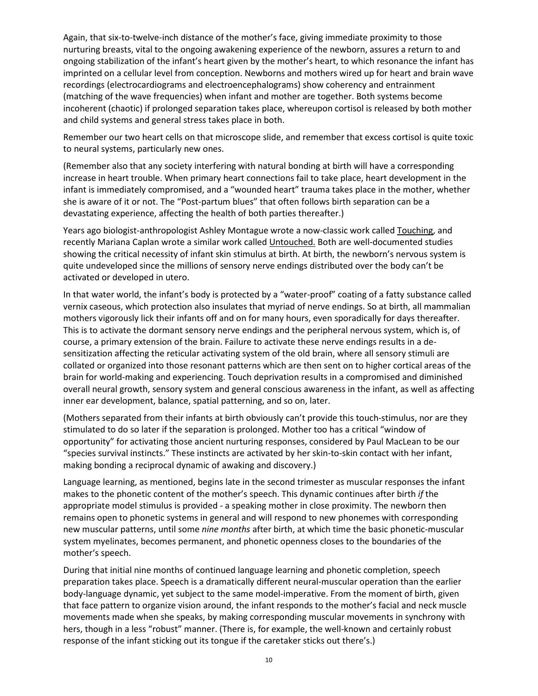Again, that six-to-twelve-inch distance of the mother's face, giving immediate proximity to those nurturing breasts, vital to the ongoing awakening experience of the newborn, assures a return to and ongoing stabilization of the infant's heart given by the mother's heart, to which resonance the infant has imprinted on a cellular level from conception. Newborns and mothers wired up for heart and brain wave recordings (electrocardiograms and electroencephalograms) show coherency and entrainment (matching of the wave frequencies) when infant and mother are together. Both systems become incoherent (chaotic) if prolonged separation takes place, whereupon cortisol is released by both mother and child systems and general stress takes place in both.

Remember our two heart cells on that microscope slide, and remember that excess cortisol is quite toxic to neural systems, particularly new ones.

(Remember also that any society interfering with natural bonding at birth will have a corresponding increase in heart trouble. When primary heart connections fail to take place, heart development in the infant is immediately compromised, and a "wounded heart" trauma takes place in the mother, whether she is aware of it or not. The "Post-partum blues" that often follows birth separation can be a devastating experience, affecting the health of both parties thereafter.)

Years ago biologist-anthropologist Ashley Montague wrote a now-classic work called Touching, and recently Mariana Caplan wrote a similar work called Untouched. Both are well-documented studies showing the critical necessity of infant skin stimulus at birth. At birth, the newborn's nervous system is quite undeveloped since the millions of sensory nerve endings distributed over the body can't be activated or developed in utero.

In that water world, the infant's body is protected by a "water-proof" coating of a fatty substance called vernix caseous, which protection also insulates that myriad of nerve endings. So at birth, all mammalian mothers vigorously lick their infants off and on for many hours, even sporadically for days thereafter. This is to activate the dormant sensory nerve endings and the peripheral nervous system, which is, of course, a primary extension of the brain. Failure to activate these nerve endings results in a desensitization affecting the reticular activating system of the old brain, where all sensory stimuli are collated or organized into those resonant patterns which are then sent on to higher cortical areas of the brain for world-making and experiencing. Touch deprivation results in a compromised and diminished overall neural growth, sensory system and general conscious awareness in the infant, as well as affecting inner ear development, balance, spatial patterning, and so on, later.

(Mothers separated from their infants at birth obviously can't provide this touch-stimulus, nor are they stimulated to do so later if the separation is prolonged. Mother too has a critical "window of opportunity" for activating those ancient nurturing responses, considered by Paul MacLean to be our "species survival instincts." These instincts are activated by her skin-to-skin contact with her infant, making bonding a reciprocal dynamic of awaking and discovery.)

Language learning, as mentioned, begins late in the second trimester as muscular responses the infant makes to the phonetic content of the mother's speech. This dynamic continues after birth *if* the appropriate model stimulus is provided - a speaking mother in close proximity. The newborn then remains open to phonetic systems in general and will respond to new phonemes with corresponding new muscular patterns, until some *nine months* after birth, at which time the basic phonetic-muscular system myelinates, becomes permanent, and phonetic openness closes to the boundaries of the mother's speech.

During that initial nine months of continued language learning and phonetic completion, speech preparation takes place. Speech is a dramatically different neural-muscular operation than the earlier body-language dynamic, yet subject to the same model-imperative. From the moment of birth, given that face pattern to organize vision around, the infant responds to the mother's facial and neck muscle movements made when she speaks, by making corresponding muscular movements in synchrony with hers, though in a less "robust" manner. (There is, for example, the well-known and certainly robust response of the infant sticking out its tongue if the caretaker sticks out there's.)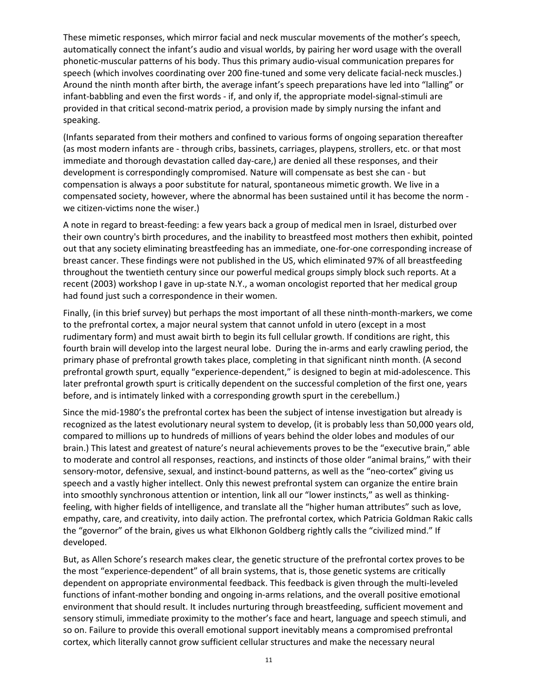These mimetic responses, which mirror facial and neck muscular movements of the mother's speech, automatically connect the infant's audio and visual worlds, by pairing her word usage with the overall phonetic-muscular patterns of his body. Thus this primary audio-visual communication prepares for speech (which involves coordinating over 200 fine-tuned and some very delicate facial-neck muscles.) Around the ninth month after birth, the average infant's speech preparations have led into "lalling" or infant-babbling and even the first words - if, and only if, the appropriate model-signal-stimuli are provided in that critical second-matrix period, a provision made by simply nursing the infant and speaking.

(Infants separated from their mothers and confined to various forms of ongoing separation thereafter (as most modern infants are - through cribs, bassinets, carriages, playpens, strollers, etc. or that most immediate and thorough devastation called day-care,) are denied all these responses, and their development is correspondingly compromised. Nature will compensate as best she can - but compensation is always a poor substitute for natural, spontaneous mimetic growth. We live in a compensated society, however, where the abnormal has been sustained until it has become the norm we citizen-victims none the wiser.)

A note in regard to breast-feeding: a few years back a group of medical men in Israel, disturbed over their own country's birth procedures, and the inability to breastfeed most mothers then exhibit, pointed out that any society eliminating breastfeeding has an immediate, one-for-one corresponding increase of breast cancer. These findings were not published in the US, which eliminated 97% of all breastfeeding throughout the twentieth century since our powerful medical groups simply block such reports. At a recent (2003) workshop I gave in up-state N.Y., a woman oncologist reported that her medical group had found just such a correspondence in their women.

Finally, (in this brief survey) but perhaps the most important of all these ninth-month-markers, we come to the prefrontal cortex, a major neural system that cannot unfold in utero (except in a most rudimentary form) and must await birth to begin its full cellular growth. If conditions are right, this fourth brain will develop into the largest neural lobe. During the in-arms and early crawling period, the primary phase of prefrontal growth takes place, completing in that significant ninth month. (A second prefrontal growth spurt, equally "experience-dependent," is designed to begin at mid-adolescence. This later prefrontal growth spurt is critically dependent on the successful completion of the first one, years before, and is intimately linked with a corresponding growth spurt in the cerebellum.)

Since the mid-1980's the prefrontal cortex has been the subject of intense investigation but already is recognized as the latest evolutionary neural system to develop, (it is probably less than 50,000 years old, compared to millions up to hundreds of millions of years behind the older lobes and modules of our brain.) This latest and greatest of nature's neural achievements proves to be the "executive brain," able to moderate and control all responses, reactions, and instincts of those older "animal brains," with their sensory-motor, defensive, sexual, and instinct-bound patterns, as well as the "neo-cortex" giving us speech and a vastly higher intellect. Only this newest prefrontal system can organize the entire brain into smoothly synchronous attention or intention, link all our "lower instincts," as well as thinkingfeeling, with higher fields of intelligence, and translate all the "higher human attributes" such as love, empathy, care, and creativity, into daily action. The prefrontal cortex, which Patricia Goldman Rakic calls the "governor" of the brain, gives us what Elkhonon Goldberg rightly calls the "civilized mind." If developed.

But, as Allen Schore's research makes clear, the genetic structure of the prefrontal cortex proves to be the most "experience-dependent" of all brain systems, that is, those genetic systems are critically dependent on appropriate environmental feedback. This feedback is given through the multi-leveled functions of infant-mother bonding and ongoing in-arms relations, and the overall positive emotional environment that should result. It includes nurturing through breastfeeding, sufficient movement and sensory stimuli, immediate proximity to the mother's face and heart, language and speech stimuli, and so on. Failure to provide this overall emotional support inevitably means a compromised prefrontal cortex, which literally cannot grow sufficient cellular structures and make the necessary neural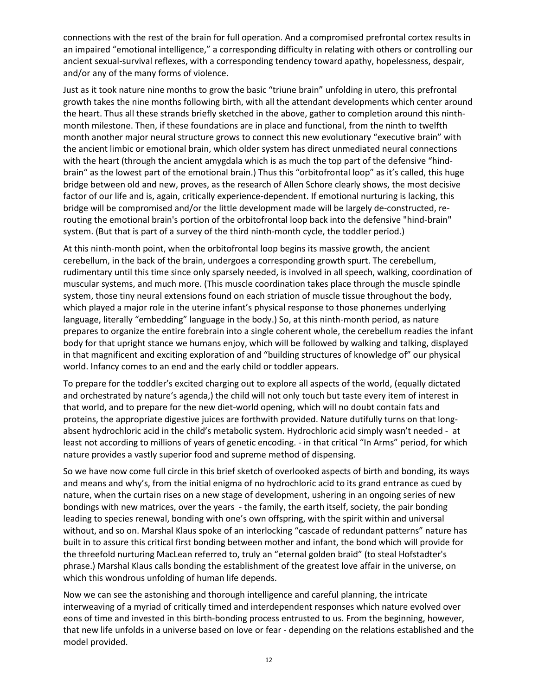connections with the rest of the brain for full operation. And a compromised prefrontal cortex results in an impaired "emotional intelligence," a corresponding difficulty in relating with others or controlling our ancient sexual-survival reflexes, with a corresponding tendency toward apathy, hopelessness, despair, and/or any of the many forms of violence.

Just as it took nature nine months to grow the basic "triune brain" unfolding in utero, this prefrontal growth takes the nine months following birth, with all the attendant developments which center around the heart. Thus all these strands briefly sketched in the above, gather to completion around this ninthmonth milestone. Then, if these foundations are in place and functional, from the ninth to twelfth month another major neural structure grows to connect this new evolutionary "executive brain" with the ancient limbic or emotional brain, which older system has direct unmediated neural connections with the heart (through the ancient amygdala which is as much the top part of the defensive "hindbrain" as the lowest part of the emotional brain.) Thus this "orbitofrontal loop" as it's called, this huge bridge between old and new, proves, as the research of Allen Schore clearly shows, the most decisive factor of our life and is, again, critically experience-dependent. If emotional nurturing is lacking, this bridge will be compromised and/or the little development made will be largely de-constructed, rerouting the emotional brain's portion of the orbitofrontal loop back into the defensive "hind-brain" system. (But that is part of a survey of the third ninth-month cycle, the toddler period.)

At this ninth-month point, when the orbitofrontal loop begins its massive growth, the ancient cerebellum, in the back of the brain, undergoes a corresponding growth spurt. The cerebellum, rudimentary until this time since only sparsely needed, is involved in all speech, walking, coordination of muscular systems, and much more. (This muscle coordination takes place through the muscle spindle system, those tiny neural extensions found on each striation of muscle tissue throughout the body, which played a major role in the uterine infant's physical response to those phonemes underlying language, literally "embedding" language in the body.) So, at this ninth-month period, as nature prepares to organize the entire forebrain into a single coherent whole, the cerebellum readies the infant body for that upright stance we humans enjoy, which will be followed by walking and talking, displayed in that magnificent and exciting exploration of and "building structures of knowledge of" our physical world. Infancy comes to an end and the early child or toddler appears.

To prepare for the toddler's excited charging out to explore all aspects of the world, (equally dictated and orchestrated by nature's agenda,) the child will not only touch but taste every item of interest in that world, and to prepare for the new diet-world opening, which will no doubt contain fats and proteins, the appropriate digestive juices are forthwith provided. Nature dutifully turns on that longabsent hydrochloric acid in the child's metabolic system. Hydrochloric acid simply wasn't needed - at least not according to millions of years of genetic encoding. - in that critical "In Arms" period, for which nature provides a vastly superior food and supreme method of dispensing.

So we have now come full circle in this brief sketch of overlooked aspects of birth and bonding, its ways and means and why's, from the initial enigma of no hydrochloric acid to its grand entrance as cued by nature, when the curtain rises on a new stage of development, ushering in an ongoing series of new bondings with new matrices, over the years - the family, the earth itself, society, the pair bonding leading to species renewal, bonding with one's own offspring, with the spirit within and universal without, and so on. Marshal Klaus spoke of an interlocking "cascade of redundant patterns" nature has built in to assure this critical first bonding between mother and infant, the bond which will provide for the threefold nurturing MacLean referred to, truly an "eternal golden braid" (to steal Hofstadter's phrase.) Marshal Klaus calls bonding the establishment of the greatest love affair in the universe, on which this wondrous unfolding of human life depends.

Now we can see the astonishing and thorough intelligence and careful planning, the intricate interweaving of a myriad of critically timed and interdependent responses which nature evolved over eons of time and invested in this birth-bonding process entrusted to us. From the beginning, however, that new life unfolds in a universe based on love or fear - depending on the relations established and the model provided.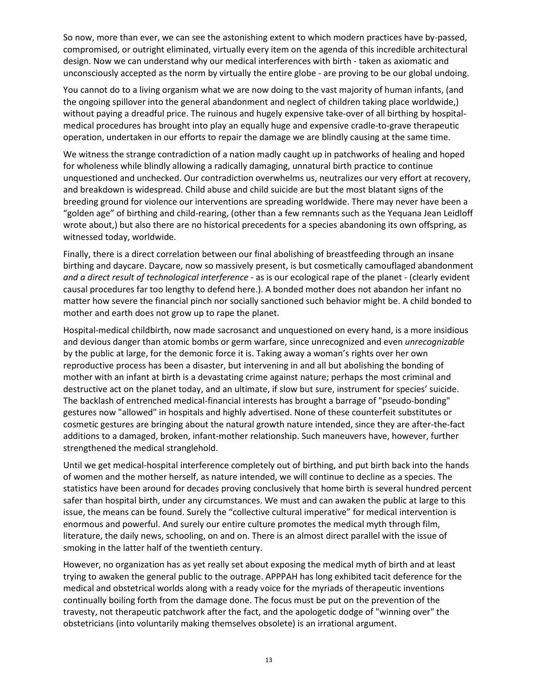So now, more than ever, we can see the astonishing extent to which modern practices have by-passed, compromised, or outright eliminated, virtually every item on the agenda of this incredible architectural design. Now we can understand why our medical interferences with birth - taken as axiomatic and unconsciously accepted as the norm by virtually the entire globe - are proving to be our global undoing.

You cannot do to a living organism what we are now doing to the vast majority of human infants, (and the ongoing spillover into the general abandonment and neglect of children taking place worldwide,) without paying a dreadful price. The ruinous and hugely expensive take-over of all birthing by hospitalmedical procedures has brought into play an equally huge and expensive cradle-to-grave therapeutic operation, undertaken in our efforts to repair the damage we are blindly causing at the same time.

We witness the strange contradiction of a nation madly caught up in patchworks of healing and hoped for wholeness while blindly allowing a radically damaging, unnatural birth practice to continue unquestioned and unchecked. Our contradiction overwhelms us, neutralizes our very effort at recovery, and breakdown is widespread. Child abuse and child suicide are but the most blatant signs of the breeding ground for violence our interventions are spreading worldwide. There may never have been a "golden age" of birthing and child-rearing, (other than a few remnants such as the Yequana Jean Leidloff wrote about,) but also there are no historical precedents for a species abandoning its own offspring, as witnessed today, worldwide.

Finally, there is a direct correlation between our final abolishing of breastfeeding through an insane birthing and daycare. Daycare, now so massively present, is but cosmetically camouflaged abandonment *and a direct result of technological interference* - as is our ecological rape of the planet - (clearly evident causal procedures far too lengthy to defend here.). A bonded mother does not abandon her infant no matter how severe the financial pinch nor socially sanctioned such behavior might be. A child bonded to mother and earth does not grow up to rape the planet.

Hospital-medical childbirth, now made sacrosanct and unquestioned on every hand, is a more insidious and devious danger than atomic bombs or germ warfare, since unrecognized and even *unrecognizable* by the public at large, for the demonic force it is. Taking away a woman's rights over her own reproductive process has been a disaster, but intervening in and all but abolishing the bonding of mother with an infant at birth is a devastating crime against nature; perhaps the most criminal and destructive act on the planet today, and an ultimate, if slow but sure, instrument for species' suicide. The backlash of entrenched medical-financial interests has brought a barrage of "pseudo-bonding" gestures now "allowed" in hospitals and highly advertised. None of these counterfeit substitutes or cosmetic gestures are bringing about the natural growth nature intended, since they are after-the-fact additions to a damaged, broken, infant-mother relationship. Such maneuvers have, however, further strengthened the medical stranglehold.

Until we get medical-hospital interference completely out of birthing, and put birth back into the hands of women and the mother herself, as nature intended, we will continue to decline as a species. The statistics have been around for decades proving conclusively that home birth is several hundred percent safer than hospital birth, under any circumstances. We must and can awaken the public at large to this issue, the means can be found. Surely the "collective cultural imperative" for medical intervention is enormous and powerful. And surely our entire culture promotes the medical myth through film, literature, the daily news, schooling, on and on. There is an almost direct parallel with the issue of smoking in the latter half of the twentieth century.

However, no organization has as yet really set about exposing the medical myth of birth and at least trying to awaken the general public to the outrage. APPPAH has long exhibited tacit deference for the medical and obstetrical worlds along with a ready voice for the myriads of therapeutic inventions continually boiling forth from the damage done. The focus must be put on the prevention of the travesty, not therapeutic patchwork after the fact, and the apologetic dodge of "winning over" the obstetricians (into voluntarily making themselves obsolete) is an irrational argument.